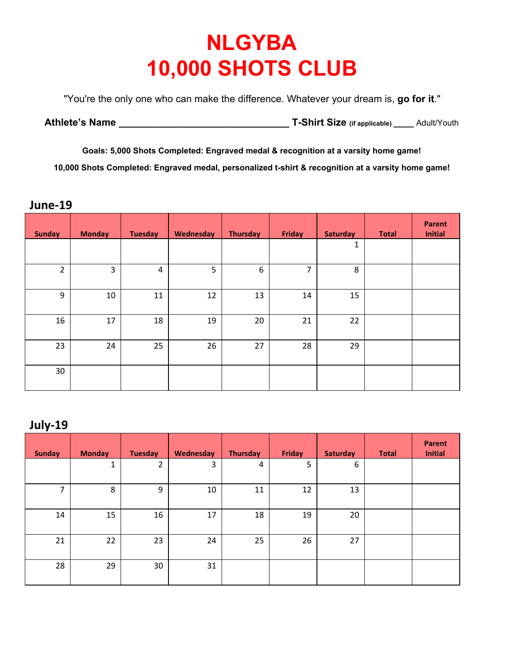## **NLGYBA 10,000 SHOTS CLUB**

"You're the only one who can make the difference. Whatever your dream is, **go for it**."

| <b>Athlete's Name</b> | T-Shirt Size (if applicable) | Adult/Youth |
|-----------------------|------------------------------|-------------|
|-----------------------|------------------------------|-------------|

**Goals: 5,000 Shots Completed: Engraved medal & recognition at a varsity home game! 10,000 Shots Completed: Engraved medal, personalized t-shirt & recognition at a varsity home game!**

**June-19**

| <b>Sunday</b>  | <b>Monday</b> | <b>Tuesday</b> | Wednesday | <b>Thursday</b> | Friday | <b>Saturday</b> | <b>Total</b> | <b>Parent</b><br><b>Initial</b> |
|----------------|---------------|----------------|-----------|-----------------|--------|-----------------|--------------|---------------------------------|
|                |               |                |           |                 |        | 1               |              |                                 |
| $\overline{2}$ | 3             | 4              | 5         | 6               | 7      | 8               |              |                                 |
| $9\,$          | 10            | 11             | 12        | 13              | 14     | 15              |              |                                 |
| 16             | 17            | 18             | 19        | 20              | 21     | 22              |              |                                 |
| 23             | 24            | 25             | 26        | 27              | 28     | 29              |              |                                 |
| 30             |               |                |           |                 |        |                 |              |                                 |

## **July-19**

| <b>Sunday</b> | <b>Monday</b> | <b>Tuesday</b> | Wednesday | <b>Thursday</b> | Friday | <b>Saturday</b> | <b>Total</b> | Parent<br><b>Initial</b> |
|---------------|---------------|----------------|-----------|-----------------|--------|-----------------|--------------|--------------------------|
|               | 1             | 2              | 3         | 4               | 5      | 6               |              |                          |
| 7             | 8             | 9              | 10        | 11              | 12     | 13              |              |                          |
| 14            | 15            | 16             | 17        | 18              | 19     | 20              |              |                          |
| 21            | 22            | 23             | 24        | 25              | 26     | 27              |              |                          |
| 28            | 29            | 30             | 31        |                 |        |                 |              |                          |